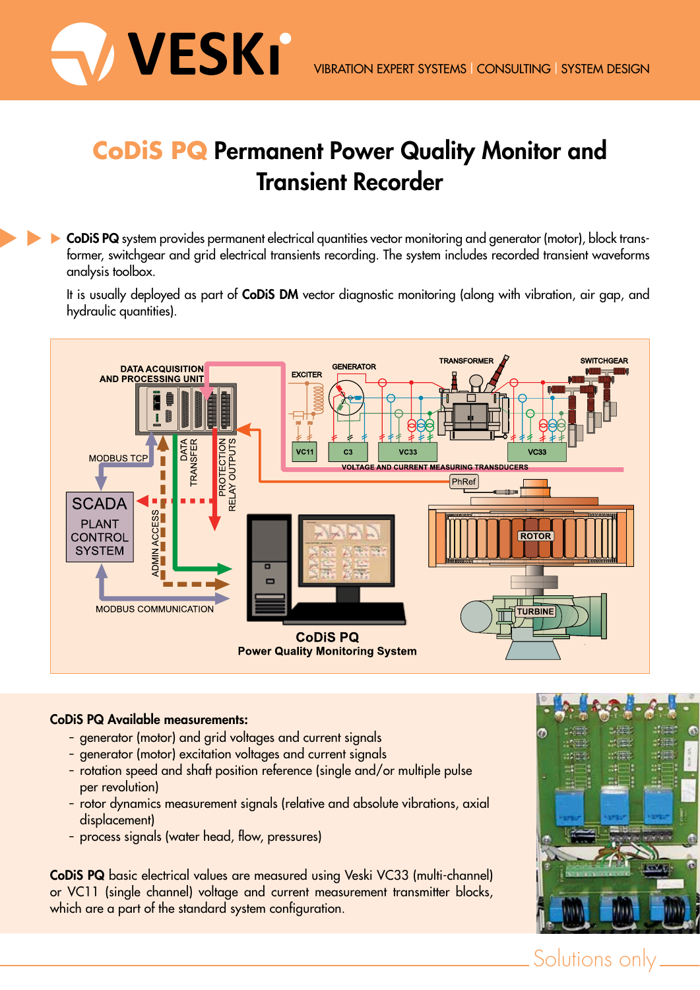

## **CoDiS PQ Permanent Power Quality Monitor and Transient Recorder**

**CoDiS PQ** system provides permanent electrical quantities vector monitoring and generator (motor), block transformer, switchgear and grid electrical transients recording. The system includes recorded transient waveforms analysis toolbox. 

> It is usually deployed as part of **CoDiS DM** vector diagnostic monitoring (along with vibration, air gap, and hydraulic quantities).



## **CoDiS PQ Available measurements:**

- generator (motor) and grid voltages and current signals
- generator (motor) excitation voltages and current signals
- rotation speed and shaft position reference (single and/or multiple pulse per revolution)
- rotor dynamics measurement signals (relative and absolute vibrations, axial displacement)
- process signals (water head, flow, pressures)

**CoDiS PQ** basic electrical values are measured using Veski VC33 (multi-channel) or VC11 (single channel) voltage and current measurement transmitter blocks, which are a part of the standard system configuration.



Solutions only